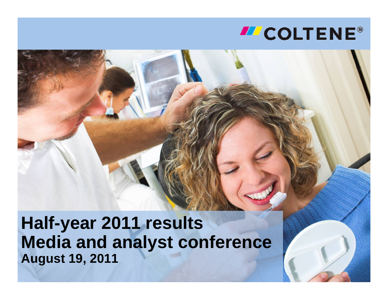**Half-year 2011 results Media and analyst conference August 19, 2011**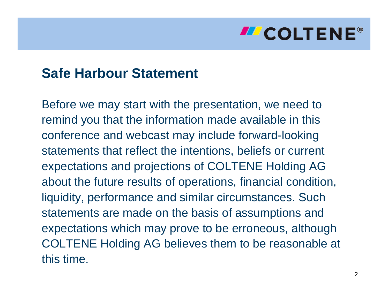### **Safe Harbour Statement**

Before we may start with the presentation, we need to remind you that the information made available in this conference and webcast may include forward-looking statements that reflect the intentions, beliefs or current expectations and projections of COLTENE Holding AG about the future results of operations, financial condition, liquidity, performance and similar circumstances. Such statements are made on the basis of assumptions and expectations which may prove to be erroneous, although COLTENE Holding AG believes them to be reasonable at this time.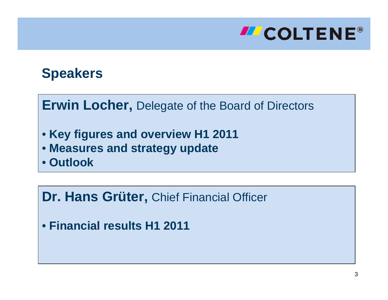

### **Speakers**

#### **Erwin Locher,** Delegate of the Board of Directors

- **Key figures and overview H1 2011**
- **Measures and strategy update**
- **Outlook**

#### **Dr. Hans Grüter,** Chief Financial Officer

• **Financial results H1 2011**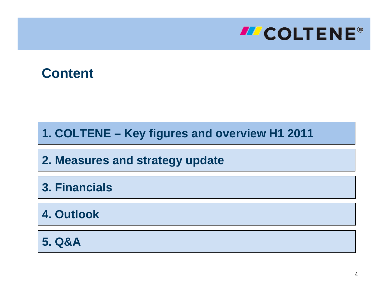

#### **Content**

**1. COLTENE – Key figures and overview H1 2011**

**2. Measures and strategy update**

**3. Financials**

**4. Outlook**

**5. Q&A**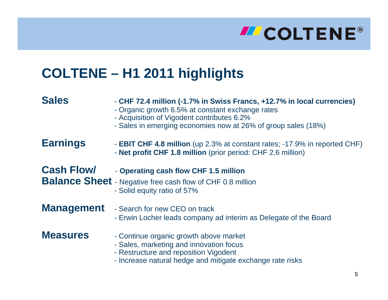# **INCOLTENE®**

### **COLTENE – H1 2011 highlights**

| <b>Sales</b>      | - CHF 72.4 million (-1.7% in Swiss Francs, +12.7% in local currencies)<br>- Organic growth 6.5% at constant exchange rates<br>- Acquisition of Vigodent contributes 6.2%<br>- Sales in emerging economies now at 26% of group sales (18%) |  |  |  |  |
|-------------------|-------------------------------------------------------------------------------------------------------------------------------------------------------------------------------------------------------------------------------------------|--|--|--|--|
| <b>Earnings</b>   | - <b>EBIT CHF 4.8 million</b> (up 2.3% at constant rates; -17.9% in reported CHF)<br>- Net profit CHF 1.8 million (prior period: CHF 2.6 million)                                                                                         |  |  |  |  |
| <b>Cash Flow/</b> | - Operating cash flow CHF 1.5 million<br><b>Balance Sheet</b> - Negative free cash flow of CHF 0.8 million<br>- Solid equity ratio of 57%                                                                                                 |  |  |  |  |
| <b>Management</b> | - Search for new CEO on track<br>- Erwin Locher leads company ad interim as Delegate of the Board                                                                                                                                         |  |  |  |  |
| <b>Measures</b>   | - Continue organic growth above market<br>- Sales, marketing and innovation focus<br>- Restructure and reposition Vigodent<br>- Increase natural hedge and mitigate exchange rate risks                                                   |  |  |  |  |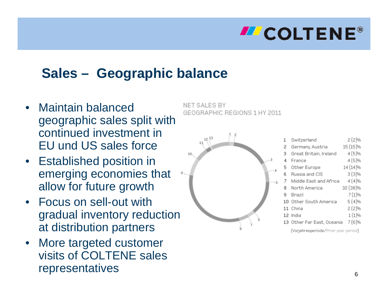### **Sales – Geographic balance**

- • Maintain balanced geographic sales split with continued investment in EU und US sales force
- • Established position in emerging economies that allow for future growth
- • Focus on sell-out with gradual inventory reduction at distribution partners
- • More targeted customer visits of COLTENE sales representatives

NET SALES BY GEOGRAPHIC REGIONS 1 HY 2011

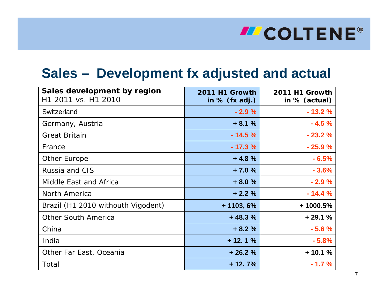### **Sales – Development fx adjusted and actual**

| Sales development by region<br>H1 2011 vs. H1 2010 | 2011 H1 Growth<br>in $%$ (fx adj.) | 2011 H1 Growth<br>in % (actual) |
|----------------------------------------------------|------------------------------------|---------------------------------|
| Switzerland                                        | $-2.9%$                            | $-13.2%$                        |
| Germany, Austria                                   | $+8.1%$                            | $-4.5%$                         |
| <b>Great Britain</b>                               | $-14.5%$                           | $-23.2%$                        |
| France                                             | $-17.3%$                           | $-25.9%$                        |
| Other Europe                                       | $+4.8%$                            | $-6.5%$                         |
| Russia and CIS                                     | $+7.0%$                            | $-3.6%$                         |
| Middle East and Africa                             | $+8.0%$                            | $-2.9%$                         |
| North America                                      | $+2.2%$                            | $-14.4%$                        |
| Brazil (H1 2010 withouth Vigodent)                 | $+ 1103, 6%$                       | $+1000.5%$                      |
| <b>Other South America</b>                         | $+48.3%$                           | $+29.1%$                        |
| China                                              | $+8.2%$                            | $-5.6%$                         |
| India                                              | $+12.1%$                           | $-5.8%$                         |
| Other Far East, Oceania                            | $+26.2%$                           | $+10.1%$                        |
| Total                                              | $+12.7%$                           | $-1.7%$                         |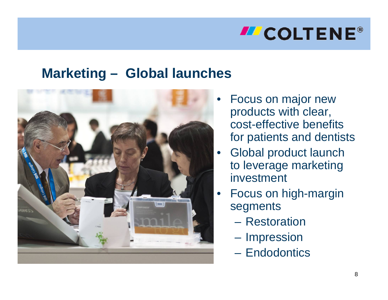### **Marketing – Global launches**



- • Focus on major new products with clear, cost-effective benefits for patients and dentists
- Global product launch to leverage marketing investment
- Focus on high-margin segments
	- Restoration
	- **Hart Committee Impression**
	- Endodontics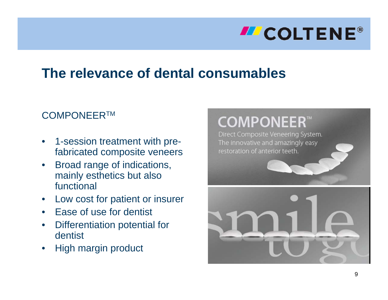### **The relevance of dental consumables**

#### COMPONEERTM

- • 1-session treatment with prefabricated composite veneers
- • Broad range of indications, mainly esthetics but also functional
- •Low cost for patient or insurer
- •Ease of use for dentist
- • Differentiation potential for dentist
- •High margin product

## **COMPONEER™**

Direct Composite Veneering System. The innovative and amazingly easy restoration of anterior teeth.

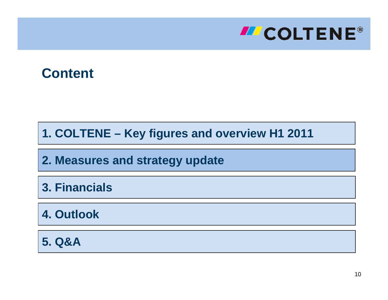

#### **Content**

**1. COLTENE – Key figures and overview H1 2011**

**2. Measures and strategy update**

**3. Financials**

**4. Outlook**

**5. Q&A**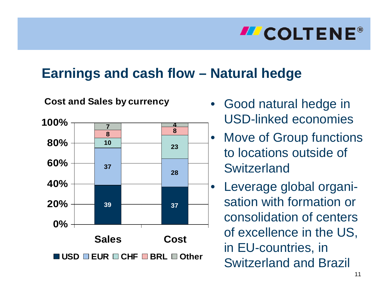### **Earnings and cash flow – Natural hedge**

#### **Cost and Sales by currency**



- Good natural hedge in USD-linked economies
- $\bullet$  Move of Group functions to locations outside of **Switzerland** 
	- Leverage global organisation with formation or consolidation of centers of excellence in the US, in EU-countries, in Switzerland and Brazil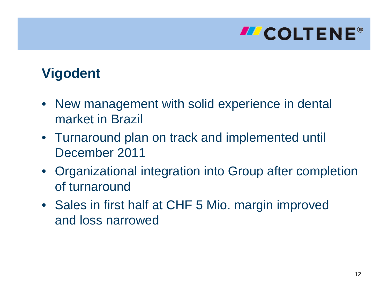# **INCOLTENE®**

### **Vigodent**

- New management with solid experience in dental market in Brazil
- Turnaround plan on track and implemented until December 2011
- Organizational integration into Group after completion of turnaround
- Sales in first half at CHF 5 Mio. margin improved and loss narrowed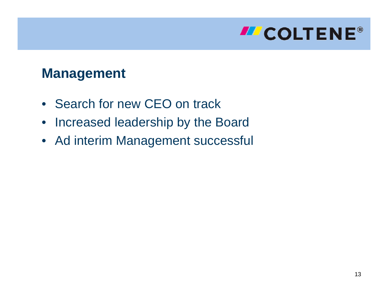

### **Management**

- Search for new CEO on track
- $\bullet$ Increased leadership by the Board
- Ad interim Management successful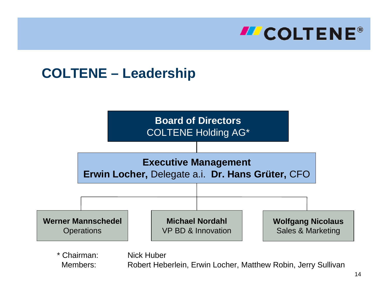

### **COLTENE – Leadership**



\* Chairman: Nick Huber

Members: Robert Heberlein, Erwin Locher, Matthew Robin, Jerry Sullivan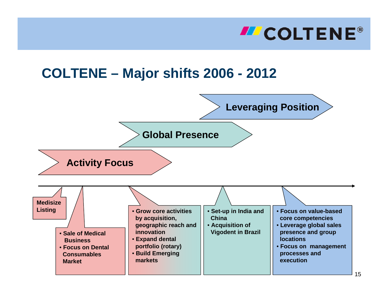

#### **COLTENE – Major shifts 2006 - 2012**

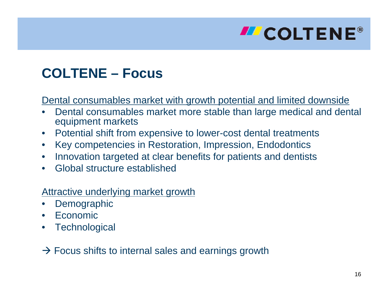# **ILCOLTENE®**

### **COLTENE – Focus**

Dental consumables market with growth potential and limited downside

- • Dental consumables market more stable than large medical and dental equipment markets
- •Potential shift from expensive to lower-cost dental treatments
- •Key competencies in Restoration, Impression, Endodontics
- •Innovation targeted at clear benefits for patients and dentists
- •Global structure established

#### Attractive underlying market growth

- •**Demographic**
- •Economic
- •**Technological**

 $\rightarrow$  Focus shifts to internal sales and earnings growth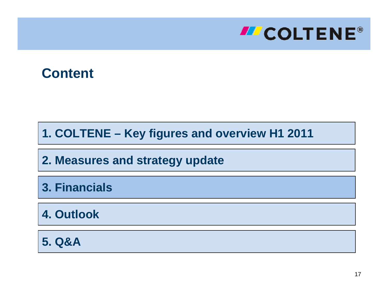

#### **Content**

**1. COLTENE – Key figures and overview H1 2011**

**2. Measures and strategy update**

**3. Financials**

**4. Outlook**

**5. Q&A**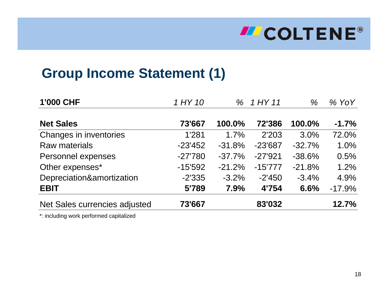# **ILCOLTENE®**

### **Group Income Statement (1)**

| 1'000 CHF                     | 1 HY 10   |           | % 1 HY 11 | $\%$     | $%$ YoY  |
|-------------------------------|-----------|-----------|-----------|----------|----------|
| <b>Net Sales</b>              | 73'667    | 100.0%    | 72'386    | 100.0%   | $-1.7%$  |
| Changes in inventories        | 1'281     | 1.7%      | 2'203     | 3.0%     | 72.0%    |
| <b>Raw materials</b>          | $-23'452$ | $-31.8%$  | $-23'687$ | $-32.7%$ | 1.0%     |
| Personnel expenses            | $-27'780$ | $-37.7\%$ | $-27'921$ | $-38.6%$ | 0.5%     |
| Other expenses*               | $-15'592$ | $-21.2%$  | $-15'777$ | $-21.8%$ | 1.2%     |
| Depreciation&amortization     | $-2'335$  | $-3.2%$   | $-2'450$  | $-3.4%$  | 4.9%     |
| <b>EBIT</b>                   | 5'789     | 7.9%      | 4'754     | 6.6%     | $-17.9%$ |
| Net Sales currencies adjusted | 73'667    |           | 83'032    |          | 12.7%    |

\*: including work performed capitalized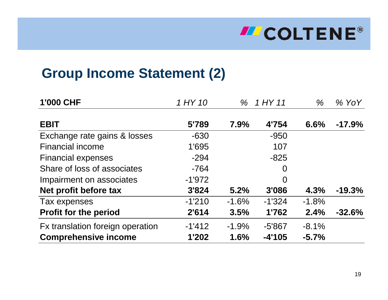# **INCOLTENE®**

### **Group Income Statement (2)**

| <b>1'000 CHF</b>                 | 1 HY 10<br>$\%$ |         | $1$ HY 11      | %       | $%$ YoY  |
|----------------------------------|-----------------|---------|----------------|---------|----------|
| <b>EBIT</b>                      | 5'789           | 7.9%    | 4'754          | 6.6%    | $-17.9%$ |
| Exchange rate gains & losses     | $-630$          |         | $-950$         |         |          |
| <b>Financial income</b>          | 1'695           |         | 107            |         |          |
| <b>Financial expenses</b>        | $-294$          |         | $-825$         |         |          |
| Share of loss of associates      | $-764$          |         | $\overline{0}$ |         |          |
| Impairment on associates         | $-1'972$        |         | $\overline{0}$ |         |          |
| Net profit before tax            | 3'824           | 5.2%    | 3'086          | 4.3%    | $-19.3%$ |
| Tax expenses                     | $-1'210$        | $-1.6%$ | $-1'324$       | $-1.8%$ |          |
| <b>Profit for the period</b>     | 2'614           | 3.5%    | 1'762          | 2.4%    | $-32.6%$ |
| Fx translation foreign operation | $-1'412$        | $-1.9%$ | $-5'867$       | $-8.1%$ |          |
| <b>Comprehensive income</b>      | 1'202           | 1.6%    | $-4'105$       | $-5.7%$ |          |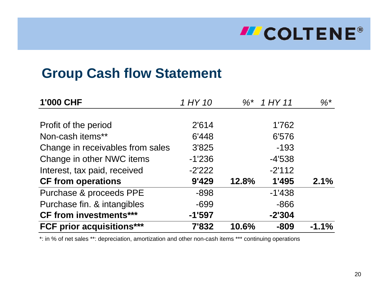# **ILCOLTENE®**

### **Group Cash flow Statement**

| <b>1'000 CHF</b>                 | 1 HY 10  |       | $\%$ * 1 HY 11 | $\%$ *  |
|----------------------------------|----------|-------|----------------|---------|
|                                  |          |       |                |         |
| Profit of the period             | 2'614    |       | 1'762          |         |
| Non-cash items**                 | 6'448    |       | 6'576          |         |
| Change in receivables from sales | 3'825    |       | $-193$         |         |
| Change in other NWC items        | $-1'236$ |       | $-4'538$       |         |
| Interest, tax paid, received     | $-2'222$ |       | $-2'112$       |         |
| <b>CF from operations</b>        | 9'429    | 12.8% | 1'495          | 2.1%    |
| Purchase & proceeds PPE          | $-898$   |       | $-1'438$       |         |
| Purchase fin. & intangibles      | $-699$   |       | $-866$         |         |
| <b>CF from investments***</b>    | $-1'597$ |       | $-2'304$       |         |
| <b>FCF prior acquisitions***</b> | 7'832    | 10.6% | $-809$         | $-1.1%$ |

\*: in % of net sales \*\*: depreciation, amortization and other non-cash items \*\*\* continuing operations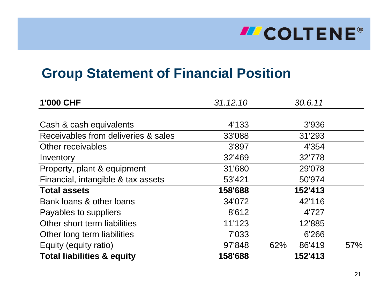# **ILCOLTENE®**

### **Group Statement of Financial Position**

| 1'000 CHF                             | 31.12.10 | 30.6.11       |     |
|---------------------------------------|----------|---------------|-----|
|                                       |          |               |     |
| Cash & cash equivalents               | 4'133    | 3'936         |     |
| Receivables from deliveries & sales   | 33'088   | 31'293        |     |
| Other receivables                     | 3'897    | 4'354         |     |
| Inventory                             | 32'469   | 32'778        |     |
| Property, plant & equipment           | 31'680   | 29'078        |     |
| Financial, intangible & tax assets    | 53'421   | 50'974        |     |
| <b>Total assets</b>                   | 158'688  | 152'413       |     |
| Bank loans & other loans              | 34'072   | 42'116        |     |
| Payables to suppliers                 | 8'612    | 4'727         |     |
| Other short term liabilities          | 11'123   | 12'885        |     |
| Other long term liabilities           | 7'033    | 6'266         |     |
| Equity (equity ratio)                 | 97'848   | 62%<br>86'419 | 57% |
| <b>Total liabilities &amp; equity</b> | 158'688  | 152'413       |     |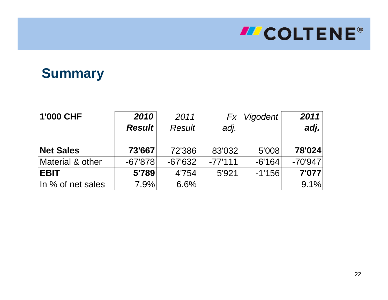### **Summary**

| <b>1'000 CHF</b>  | 2010          | 2011          | Fx        | <b>Vigodent</b> | 2011                           |
|-------------------|---------------|---------------|-----------|-----------------|--------------------------------|
|                   | <b>Result</b> | <b>Result</b> | adj.      |                 | $\left  \mathbf{adj.} \right $ |
|                   |               |               |           |                 |                                |
| <b>Net Sales</b>  | 73'667        | 72'386        | 83'032    | 5'008           | 78'024                         |
| Material & other  | $-67'878$     | $-67'632$     | $-77'111$ | $-6'164$        | $-70'947$                      |
| <b>EBIT</b>       | 5'789         | 4'754         | 5'921     | $-1'156$        | 7'077                          |
| In % of net sales | 7.9%          | 6.6%          |           |                 | 9.1%                           |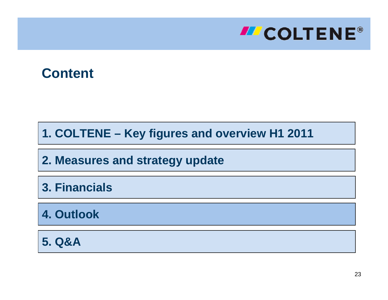

#### **Content**

**1. COLTENE – Key figures and overview H1 2011**

**2. Measures and strategy update**

**3. Financials**

**4. Outlook**

**5. Q&A**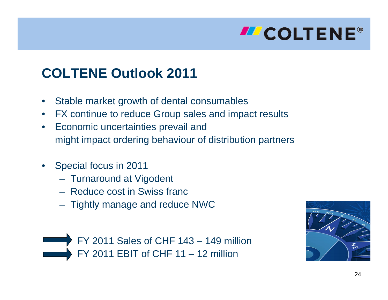

### **COLTENE Outlook 2011**

- •Stable market growth of dental consumables
- •FX continue to reduce Group sales and impact results
- • Economic uncertainties prevail and might impact ordering behaviour of distribution partners
- • Special focus in 2011
	- Turnaround at Vigodent
	- Reduce cost in Swiss franc
	- Tightly manage and reduce NWC